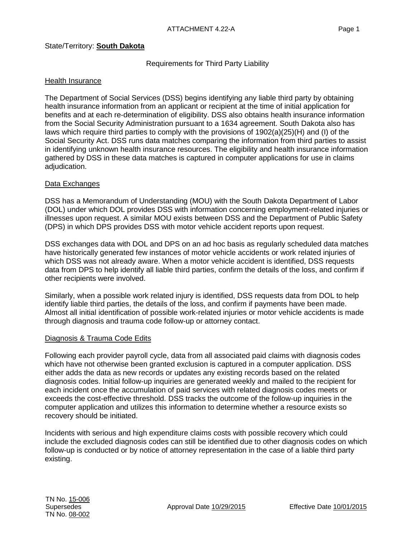# State/Territory: **South Dakota**

Requirements for Third Party Liability

# Health Insurance

The Department of Social Services (DSS) begins identifying any liable third party by obtaining health insurance information from an applicant or recipient at the time of initial application for benefits and at each re-determination of eligibility. DSS also obtains health insurance information from the Social Security Administration pursuant to a 1634 agreement. South Dakota also has laws which require third parties to comply with the provisions of 1902(a)(25)(H) and (I) of the Social Security Act. DSS runs data matches comparing the information from third parties to assist in identifying unknown health insurance resources. The eligibility and health insurance information gathered by DSS in these data matches is captured in computer applications for use in claims adjudication.

## Data Exchanges

DSS has a Memorandum of Understanding (MOU) with the South Dakota Department of Labor (DOL) under which DOL provides DSS with information concerning employment-related injuries or illnesses upon request. A similar MOU exists between DSS and the Department of Public Safety (DPS) in which DPS provides DSS with motor vehicle accident reports upon request.

DSS exchanges data with DOL and DPS on an ad hoc basis as regularly scheduled data matches have historically generated few instances of motor vehicle accidents or work related injuries of which DSS was not already aware. When a motor vehicle accident is identified, DSS requests data from DPS to help identify all liable third parties, confirm the details of the loss, and confirm if other recipients were involved.

Similarly, when a possible work related injury is identified, DSS requests data from DOL to help identify liable third parties, the details of the loss, and confirm if payments have been made. Almost all initial identification of possible work-related injuries or motor vehicle accidents is made through diagnosis and trauma code follow-up or attorney contact.

## Diagnosis & Trauma Code Edits

Following each provider payroll cycle, data from all associated paid claims with diagnosis codes which have not otherwise been granted exclusion is captured in a computer application. DSS either adds the data as new records or updates any existing records based on the related diagnosis codes. Initial follow-up inquiries are generated weekly and mailed to the recipient for each incident once the accumulation of paid services with related diagnosis codes meets or exceeds the cost-effective threshold. DSS tracks the outcome of the follow-up inquiries in the computer application and utilizes this information to determine whether a resource exists so recovery should be initiated.

Incidents with serious and high expenditure claims costs with possible recovery which could include the excluded diagnosis codes can still be identified due to other diagnosis codes on which follow-up is conducted or by notice of attorney representation in the case of a liable third party existing.